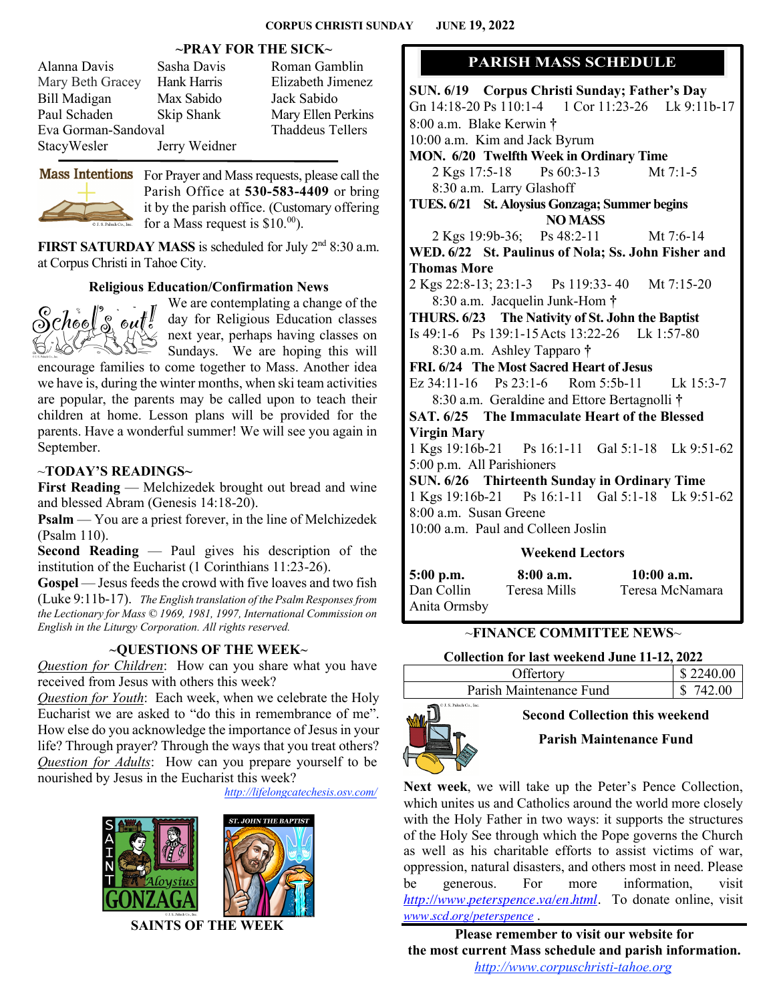### **~PRAY FOR THE SICK~**

| Alanna Davis        | Sasha Davis   | Roman Gamblin           |
|---------------------|---------------|-------------------------|
|                     |               |                         |
| Mary Beth Gracey    | Hank Harris   | Elizabeth Jimenez       |
| <b>Bill Madigan</b> | Max Sabido    | Jack Sabido             |
| Paul Schaden        | Skip Shank    | Mary Ellen Perkins      |
| Eva Gorman-Sandoval |               | <b>Thaddeus Tellers</b> |
| StacyWesler         | Jerry Weidner |                         |
|                     |               |                         |



Mass Intentions For Prayer and Mass requests, please call the Parish Office at **530-583-4409** or bring it by the parish office. (Customary offering for a Mass request is  $$10.<sup>00</sup>$ .

**FIRST SATURDAY MASS** is scheduled for July  $2<sup>nd</sup> 8:30$  a.m. at Corpus Christi in Tahoe City.

### **Religious Education/Confirmation News**



We are contemplating a change of the day for Religious Education classes next year, perhaps having classes on Sundays. We are hoping this will

encourage families to come together to Mass. Another idea we have is, during the winter months, when ski team activities are popular, the parents may be called upon to teach their children at home. Lesson plans will be provided for the parents. Have a wonderful summer! We will see you again in September.

### ~**TODAY'S READINGS~**

**First Reading** — Melchizedek brought out bread and wine and blessed Abram (Genesis 14:18-20).

**Psalm** — You are a priest forever, in the line of Melchizedek (Psalm 110).

**Second Reading** — Paul gives his description of the institution of the Eucharist (1 Corinthians 11:23-26).

**Gospel** — Jesus feeds the crowd with five loaves and two fish (Luke 9:11b-17). *The English translation of the Psalm Responses from the Lectionary for Mass © 1969, 1981, 1997, International Commission on English in the Liturgy Corporation. All rights reserved.*

# ~**QUESTIONS OF THE WEEK**~

*Question for Children*: How can you share what you have received from Jesus with others this week?

*Question for Youth*: Each week, when we celebrate the Holy Eucharist we are asked to "do this in remembrance of me". How else do you acknowledge the importance of Jesus in your life? Through prayer? Through the ways that you treat others? *Question for Adults*: How can you prepare yourself to be nourished by Jesus in the Eucharist this week?

*http://lifelongcatechesis.osv.com/*





 **SAINTS OF THE WEEK**

# **PARISH MASS SCHEDULE**

**SUN. 6/19 Corpus Christi Sunday; Father's Day** Gn 14:18-20 Ps 110:1-4 1 Cor 11:23-26 Lk 9:11b-17 8:00 a.m. Blake Kerwin **†** 10:00 a.m. Kim and Jack Byrum **MON. 6/20 Twelfth Week in Ordinary Time** 2 Kgs 17:5-18 Ps 60:3-13 Mt 7:1-5 8:30 a.m. Larry Glashoff **TUES. 6/21 St. Aloysius Gonzaga; Summer begins NO MASS** 2 Kgs 19:9b-36; Ps 48:2-11 Mt 7:6-14 **WED. 6/22 St. Paulinus of Nola; Ss. John Fisher and Thomas More** 2 Kgs 22:8-13; 23:1-3 Ps 119:33- 40 Mt 7:15-20 8:30 a.m. Jacquelin Junk-Hom **† THURS. 6/23 The Nativity of St. John the Baptist** Is 49:1-6 Ps 139:1-15Acts 13:22-26 Lk 1:57-80 8:30 a.m. Ashley Tapparo **† FRI. 6/24 The Most Sacred Heart of Jesus** Ez 34:11-16 Ps 23:1-6 Rom 5:5b-11 Lk 15:3-7 8:30 a.m. Geraldine and Ettore Bertagnolli **† SAT. 6/25 The Immaculate Heart of the Blessed Virgin Mary** 1 Kgs 19:16b-21 Ps 16:1-11 Gal 5:1-18 Lk 9:51-62 5:00 p.m. All Parishioners **SUN. 6/26 Thirteenth Sunday in Ordinary Time** 1 Kgs 19:16b-21 Ps 16:1-11 Gal 5:1-18 Lk 9:51-62 8:00 a.m. Susan Greene 10:00 a.m. Paul and Colleen Joslin

#### **Weekend Lectors**

| 5:00 p.m.    | 8:00a.m.     | $10:00$ a.m.    |
|--------------|--------------|-----------------|
| Dan Collin   | Teresa Mills | Teresa McNamara |
| Anita Ormsby |              |                 |

# ~**FINANCE COMMITTEE NEWS**~

# **Collection for last weekend June 11-12, 2022**

| Offertory                | \$2240.00 |
|--------------------------|-----------|
| Parish Maintenance Fund  | 742.00    |
| C.J. S. Paluch Co., Inc. |           |



**Second Collection this weekend**

**Parish Maintenance Fund**

**Next week**, we will take up the Peter's Pence Collection, which unites us and Catholics around the world more closely with the Holy Father in two ways: it supports the structures of the Holy See through which the Pope governs the Church as well as his charitable efforts to assist victims of war, oppression, natural disasters, and others most in need. Please be generous. For more information, visit *http://www.peterspence.va/en.html.* To donate online, visit *www.scd.org/peterspence* .

**Please remember to visit our website for the most current Mass schedule and parish information.** *http://www.corpuschristi-tahoe.org*